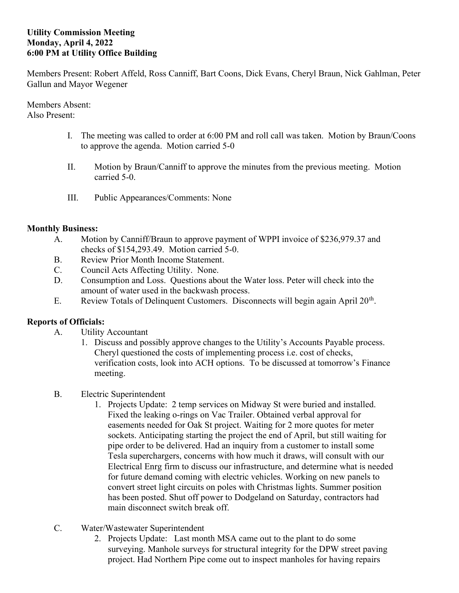## Utility Commission Meeting Monday, April 4, 2022 6:00 PM at Utility Office Building

Members Present: Robert Affeld, Ross Canniff, Bart Coons, Dick Evans, Cheryl Braun, Nick Gahlman, Peter Gallun and Mayor Wegener

Members Absent: Also Present:

- I. The meeting was called to order at 6:00 PM and roll call was taken. Motion by Braun/Coons to approve the agenda. Motion carried 5-0
- II. Motion by Braun/Canniff to approve the minutes from the previous meeting. Motion carried 5-0.
- III. Public Appearances/Comments: None

## Monthly Business:

- A. Motion by Canniff/Braun to approve payment of WPPI invoice of \$236,979.37 and checks of \$154,293.49. Motion carried 5-0.
- B. Review Prior Month Income Statement.
- C. Council Acts Affecting Utility. None.
- D. Consumption and Loss. Questions about the Water loss. Peter will check into the amount of water used in the backwash process.
- E. Review Totals of Delinquent Customers. Disconnects will begin again April  $20<sup>th</sup>$ .

## Reports of Officials:

- A. Utility Accountant
	- 1. Discuss and possibly approve changes to the Utility's Accounts Payable process. Cheryl questioned the costs of implementing process i.e. cost of checks, verification costs, look into ACH options. To be discussed at tomorrow's Finance meeting.
- B. Electric Superintendent
	- 1. Projects Update: 2 temp services on Midway St were buried and installed. Fixed the leaking o-rings on Vac Trailer. Obtained verbal approval for easements needed for Oak St project. Waiting for 2 more quotes for meter sockets. Anticipating starting the project the end of April, but still waiting for pipe order to be delivered. Had an inquiry from a customer to install some Tesla superchargers, concerns with how much it draws, will consult with our Electrical Enrg firm to discuss our infrastructure, and determine what is needed for future demand coming with electric vehicles. Working on new panels to convert street light circuits on poles with Christmas lights. Summer position has been posted. Shut off power to Dodgeland on Saturday, contractors had main disconnect switch break off.
- C. Water/Wastewater Superintendent
	- 2. Projects Update: Last month MSA came out to the plant to do some surveying. Manhole surveys for structural integrity for the DPW street paving project. Had Northern Pipe come out to inspect manholes for having repairs